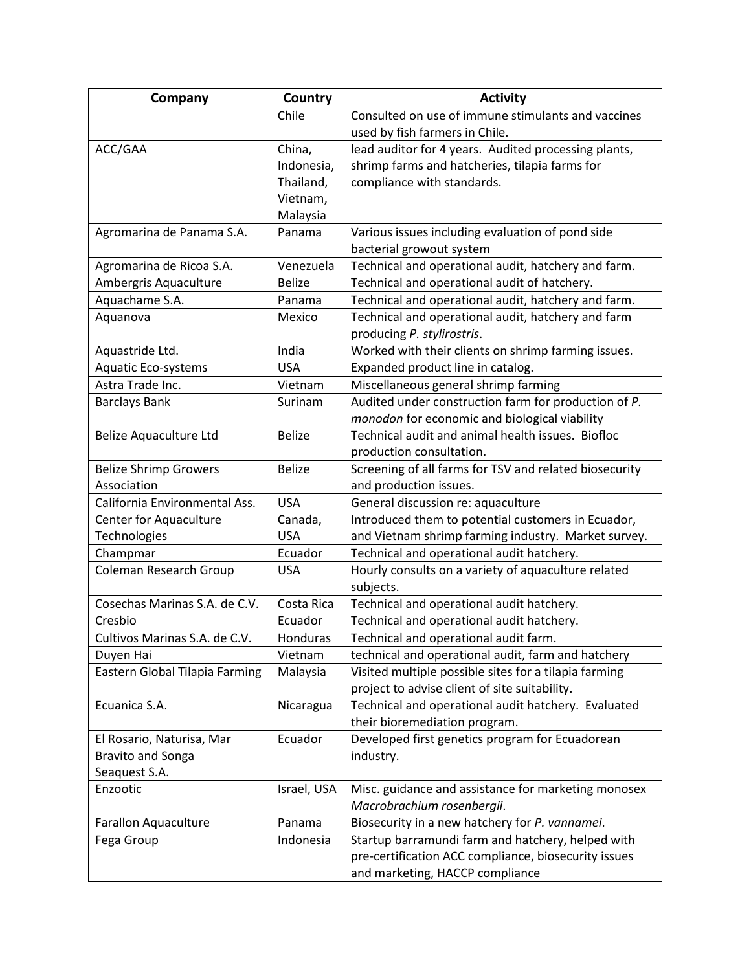| Consulted on use of immune stimulants and vaccines<br>Chile<br>used by fish farmers in Chile.<br>ACC/GAA<br>lead auditor for 4 years. Audited processing plants,<br>China,<br>shrimp farms and hatcheries, tilapia farms for<br>Indonesia,<br>Thailand,<br>compliance with standards.<br>Vietnam,<br>Malaysia<br>Agromarina de Panama S.A.<br>Various issues including evaluation of pond side<br>Panama<br>bacterial growout system<br>Agromarina de Ricoa S.A.<br>Venezuela<br>Technical and operational audit, hatchery and farm.<br>Technical and operational audit of hatchery.<br>Ambergris Aquaculture<br><b>Belize</b><br>Aquachame S.A.<br>Technical and operational audit, hatchery and farm.<br>Panama<br>Technical and operational audit, hatchery and farm<br>Aquanova<br>Mexico<br>producing P. stylirostris.<br>India<br>Worked with their clients on shrimp farming issues.<br>Aquastride Ltd.<br>Expanded product line in catalog.<br>Aquatic Eco-systems<br><b>USA</b><br>Astra Trade Inc.<br>Miscellaneous general shrimp farming<br>Vietnam<br>Audited under construction farm for production of P.<br><b>Barclays Bank</b><br>Surinam<br>monodon for economic and biological viability<br>Technical audit and animal health issues. Biofloc<br>Belize Aquaculture Ltd<br><b>Belize</b><br>production consultation.<br><b>Belize</b><br>Screening of all farms for TSV and related biosecurity<br><b>Belize Shrimp Growers</b><br>Association<br>and production issues.<br>General discussion re: aquaculture<br>California Environmental Ass.<br><b>USA</b><br>Introduced them to potential customers in Ecuador,<br>Center for Aquaculture<br>Canada,<br>Technologies<br><b>USA</b><br>and Vietnam shrimp farming industry. Market survey.<br>Ecuador<br>Technical and operational audit hatchery.<br>Champmar<br><b>Coleman Research Group</b><br><b>USA</b><br>Hourly consults on a variety of aquaculture related<br>subjects.<br>Cosechas Marinas S.A. de C.V.<br>Costa Rica<br>Technical and operational audit hatchery.<br>Cresbio<br>Technical and operational audit hatchery.<br>Ecuador<br>Cultivos Marinas S.A. de C.V.<br>Technical and operational audit farm.<br>Honduras<br>technical and operational audit, farm and hatchery<br>Duyen Hai<br>Vietnam<br>Visited multiple possible sites for a tilapia farming<br>Eastern Global Tilapia Farming<br>Malaysia<br>project to advise client of site suitability.<br>Ecuanica S.A.<br>Technical and operational audit hatchery. Evaluated<br>Nicaragua<br>their bioremediation program.<br>Developed first genetics program for Ecuadorean<br>El Rosario, Naturisa, Mar<br>Ecuador<br><b>Bravito and Songa</b><br>industry.<br>Seaquest S.A.<br>Enzootic<br>Israel, USA<br>Misc. guidance and assistance for marketing monosex<br>Macrobrachium rosenbergii. | Company                     | Country | <b>Activity</b>                                |
|-----------------------------------------------------------------------------------------------------------------------------------------------------------------------------------------------------------------------------------------------------------------------------------------------------------------------------------------------------------------------------------------------------------------------------------------------------------------------------------------------------------------------------------------------------------------------------------------------------------------------------------------------------------------------------------------------------------------------------------------------------------------------------------------------------------------------------------------------------------------------------------------------------------------------------------------------------------------------------------------------------------------------------------------------------------------------------------------------------------------------------------------------------------------------------------------------------------------------------------------------------------------------------------------------------------------------------------------------------------------------------------------------------------------------------------------------------------------------------------------------------------------------------------------------------------------------------------------------------------------------------------------------------------------------------------------------------------------------------------------------------------------------------------------------------------------------------------------------------------------------------------------------------------------------------------------------------------------------------------------------------------------------------------------------------------------------------------------------------------------------------------------------------------------------------------------------------------------------------------------------------------------------------------------------------------------------------------------------------------------------------------------------------------------------------------------------------------------------------------------------------------------------------------------------------------------------------------------------------------------------------------------------------------------------------------------------------------------------------------------------------------------------------------------------------------------------------------------------|-----------------------------|---------|------------------------------------------------|
|                                                                                                                                                                                                                                                                                                                                                                                                                                                                                                                                                                                                                                                                                                                                                                                                                                                                                                                                                                                                                                                                                                                                                                                                                                                                                                                                                                                                                                                                                                                                                                                                                                                                                                                                                                                                                                                                                                                                                                                                                                                                                                                                                                                                                                                                                                                                                                                                                                                                                                                                                                                                                                                                                                                                                                                                                                               |                             |         |                                                |
|                                                                                                                                                                                                                                                                                                                                                                                                                                                                                                                                                                                                                                                                                                                                                                                                                                                                                                                                                                                                                                                                                                                                                                                                                                                                                                                                                                                                                                                                                                                                                                                                                                                                                                                                                                                                                                                                                                                                                                                                                                                                                                                                                                                                                                                                                                                                                                                                                                                                                                                                                                                                                                                                                                                                                                                                                                               |                             |         |                                                |
|                                                                                                                                                                                                                                                                                                                                                                                                                                                                                                                                                                                                                                                                                                                                                                                                                                                                                                                                                                                                                                                                                                                                                                                                                                                                                                                                                                                                                                                                                                                                                                                                                                                                                                                                                                                                                                                                                                                                                                                                                                                                                                                                                                                                                                                                                                                                                                                                                                                                                                                                                                                                                                                                                                                                                                                                                                               |                             |         |                                                |
|                                                                                                                                                                                                                                                                                                                                                                                                                                                                                                                                                                                                                                                                                                                                                                                                                                                                                                                                                                                                                                                                                                                                                                                                                                                                                                                                                                                                                                                                                                                                                                                                                                                                                                                                                                                                                                                                                                                                                                                                                                                                                                                                                                                                                                                                                                                                                                                                                                                                                                                                                                                                                                                                                                                                                                                                                                               |                             |         |                                                |
|                                                                                                                                                                                                                                                                                                                                                                                                                                                                                                                                                                                                                                                                                                                                                                                                                                                                                                                                                                                                                                                                                                                                                                                                                                                                                                                                                                                                                                                                                                                                                                                                                                                                                                                                                                                                                                                                                                                                                                                                                                                                                                                                                                                                                                                                                                                                                                                                                                                                                                                                                                                                                                                                                                                                                                                                                                               |                             |         |                                                |
|                                                                                                                                                                                                                                                                                                                                                                                                                                                                                                                                                                                                                                                                                                                                                                                                                                                                                                                                                                                                                                                                                                                                                                                                                                                                                                                                                                                                                                                                                                                                                                                                                                                                                                                                                                                                                                                                                                                                                                                                                                                                                                                                                                                                                                                                                                                                                                                                                                                                                                                                                                                                                                                                                                                                                                                                                                               |                             |         |                                                |
|                                                                                                                                                                                                                                                                                                                                                                                                                                                                                                                                                                                                                                                                                                                                                                                                                                                                                                                                                                                                                                                                                                                                                                                                                                                                                                                                                                                                                                                                                                                                                                                                                                                                                                                                                                                                                                                                                                                                                                                                                                                                                                                                                                                                                                                                                                                                                                                                                                                                                                                                                                                                                                                                                                                                                                                                                                               |                             |         |                                                |
|                                                                                                                                                                                                                                                                                                                                                                                                                                                                                                                                                                                                                                                                                                                                                                                                                                                                                                                                                                                                                                                                                                                                                                                                                                                                                                                                                                                                                                                                                                                                                                                                                                                                                                                                                                                                                                                                                                                                                                                                                                                                                                                                                                                                                                                                                                                                                                                                                                                                                                                                                                                                                                                                                                                                                                                                                                               |                             |         |                                                |
|                                                                                                                                                                                                                                                                                                                                                                                                                                                                                                                                                                                                                                                                                                                                                                                                                                                                                                                                                                                                                                                                                                                                                                                                                                                                                                                                                                                                                                                                                                                                                                                                                                                                                                                                                                                                                                                                                                                                                                                                                                                                                                                                                                                                                                                                                                                                                                                                                                                                                                                                                                                                                                                                                                                                                                                                                                               |                             |         |                                                |
|                                                                                                                                                                                                                                                                                                                                                                                                                                                                                                                                                                                                                                                                                                                                                                                                                                                                                                                                                                                                                                                                                                                                                                                                                                                                                                                                                                                                                                                                                                                                                                                                                                                                                                                                                                                                                                                                                                                                                                                                                                                                                                                                                                                                                                                                                                                                                                                                                                                                                                                                                                                                                                                                                                                                                                                                                                               |                             |         |                                                |
|                                                                                                                                                                                                                                                                                                                                                                                                                                                                                                                                                                                                                                                                                                                                                                                                                                                                                                                                                                                                                                                                                                                                                                                                                                                                                                                                                                                                                                                                                                                                                                                                                                                                                                                                                                                                                                                                                                                                                                                                                                                                                                                                                                                                                                                                                                                                                                                                                                                                                                                                                                                                                                                                                                                                                                                                                                               |                             |         |                                                |
|                                                                                                                                                                                                                                                                                                                                                                                                                                                                                                                                                                                                                                                                                                                                                                                                                                                                                                                                                                                                                                                                                                                                                                                                                                                                                                                                                                                                                                                                                                                                                                                                                                                                                                                                                                                                                                                                                                                                                                                                                                                                                                                                                                                                                                                                                                                                                                                                                                                                                                                                                                                                                                                                                                                                                                                                                                               |                             |         |                                                |
|                                                                                                                                                                                                                                                                                                                                                                                                                                                                                                                                                                                                                                                                                                                                                                                                                                                                                                                                                                                                                                                                                                                                                                                                                                                                                                                                                                                                                                                                                                                                                                                                                                                                                                                                                                                                                                                                                                                                                                                                                                                                                                                                                                                                                                                                                                                                                                                                                                                                                                                                                                                                                                                                                                                                                                                                                                               |                             |         |                                                |
|                                                                                                                                                                                                                                                                                                                                                                                                                                                                                                                                                                                                                                                                                                                                                                                                                                                                                                                                                                                                                                                                                                                                                                                                                                                                                                                                                                                                                                                                                                                                                                                                                                                                                                                                                                                                                                                                                                                                                                                                                                                                                                                                                                                                                                                                                                                                                                                                                                                                                                                                                                                                                                                                                                                                                                                                                                               |                             |         |                                                |
|                                                                                                                                                                                                                                                                                                                                                                                                                                                                                                                                                                                                                                                                                                                                                                                                                                                                                                                                                                                                                                                                                                                                                                                                                                                                                                                                                                                                                                                                                                                                                                                                                                                                                                                                                                                                                                                                                                                                                                                                                                                                                                                                                                                                                                                                                                                                                                                                                                                                                                                                                                                                                                                                                                                                                                                                                                               |                             |         |                                                |
|                                                                                                                                                                                                                                                                                                                                                                                                                                                                                                                                                                                                                                                                                                                                                                                                                                                                                                                                                                                                                                                                                                                                                                                                                                                                                                                                                                                                                                                                                                                                                                                                                                                                                                                                                                                                                                                                                                                                                                                                                                                                                                                                                                                                                                                                                                                                                                                                                                                                                                                                                                                                                                                                                                                                                                                                                                               |                             |         |                                                |
|                                                                                                                                                                                                                                                                                                                                                                                                                                                                                                                                                                                                                                                                                                                                                                                                                                                                                                                                                                                                                                                                                                                                                                                                                                                                                                                                                                                                                                                                                                                                                                                                                                                                                                                                                                                                                                                                                                                                                                                                                                                                                                                                                                                                                                                                                                                                                                                                                                                                                                                                                                                                                                                                                                                                                                                                                                               |                             |         |                                                |
|                                                                                                                                                                                                                                                                                                                                                                                                                                                                                                                                                                                                                                                                                                                                                                                                                                                                                                                                                                                                                                                                                                                                                                                                                                                                                                                                                                                                                                                                                                                                                                                                                                                                                                                                                                                                                                                                                                                                                                                                                                                                                                                                                                                                                                                                                                                                                                                                                                                                                                                                                                                                                                                                                                                                                                                                                                               |                             |         |                                                |
|                                                                                                                                                                                                                                                                                                                                                                                                                                                                                                                                                                                                                                                                                                                                                                                                                                                                                                                                                                                                                                                                                                                                                                                                                                                                                                                                                                                                                                                                                                                                                                                                                                                                                                                                                                                                                                                                                                                                                                                                                                                                                                                                                                                                                                                                                                                                                                                                                                                                                                                                                                                                                                                                                                                                                                                                                                               |                             |         |                                                |
|                                                                                                                                                                                                                                                                                                                                                                                                                                                                                                                                                                                                                                                                                                                                                                                                                                                                                                                                                                                                                                                                                                                                                                                                                                                                                                                                                                                                                                                                                                                                                                                                                                                                                                                                                                                                                                                                                                                                                                                                                                                                                                                                                                                                                                                                                                                                                                                                                                                                                                                                                                                                                                                                                                                                                                                                                                               |                             |         |                                                |
|                                                                                                                                                                                                                                                                                                                                                                                                                                                                                                                                                                                                                                                                                                                                                                                                                                                                                                                                                                                                                                                                                                                                                                                                                                                                                                                                                                                                                                                                                                                                                                                                                                                                                                                                                                                                                                                                                                                                                                                                                                                                                                                                                                                                                                                                                                                                                                                                                                                                                                                                                                                                                                                                                                                                                                                                                                               |                             |         |                                                |
|                                                                                                                                                                                                                                                                                                                                                                                                                                                                                                                                                                                                                                                                                                                                                                                                                                                                                                                                                                                                                                                                                                                                                                                                                                                                                                                                                                                                                                                                                                                                                                                                                                                                                                                                                                                                                                                                                                                                                                                                                                                                                                                                                                                                                                                                                                                                                                                                                                                                                                                                                                                                                                                                                                                                                                                                                                               |                             |         |                                                |
|                                                                                                                                                                                                                                                                                                                                                                                                                                                                                                                                                                                                                                                                                                                                                                                                                                                                                                                                                                                                                                                                                                                                                                                                                                                                                                                                                                                                                                                                                                                                                                                                                                                                                                                                                                                                                                                                                                                                                                                                                                                                                                                                                                                                                                                                                                                                                                                                                                                                                                                                                                                                                                                                                                                                                                                                                                               |                             |         |                                                |
|                                                                                                                                                                                                                                                                                                                                                                                                                                                                                                                                                                                                                                                                                                                                                                                                                                                                                                                                                                                                                                                                                                                                                                                                                                                                                                                                                                                                                                                                                                                                                                                                                                                                                                                                                                                                                                                                                                                                                                                                                                                                                                                                                                                                                                                                                                                                                                                                                                                                                                                                                                                                                                                                                                                                                                                                                                               |                             |         |                                                |
|                                                                                                                                                                                                                                                                                                                                                                                                                                                                                                                                                                                                                                                                                                                                                                                                                                                                                                                                                                                                                                                                                                                                                                                                                                                                                                                                                                                                                                                                                                                                                                                                                                                                                                                                                                                                                                                                                                                                                                                                                                                                                                                                                                                                                                                                                                                                                                                                                                                                                                                                                                                                                                                                                                                                                                                                                                               |                             |         |                                                |
|                                                                                                                                                                                                                                                                                                                                                                                                                                                                                                                                                                                                                                                                                                                                                                                                                                                                                                                                                                                                                                                                                                                                                                                                                                                                                                                                                                                                                                                                                                                                                                                                                                                                                                                                                                                                                                                                                                                                                                                                                                                                                                                                                                                                                                                                                                                                                                                                                                                                                                                                                                                                                                                                                                                                                                                                                                               |                             |         |                                                |
|                                                                                                                                                                                                                                                                                                                                                                                                                                                                                                                                                                                                                                                                                                                                                                                                                                                                                                                                                                                                                                                                                                                                                                                                                                                                                                                                                                                                                                                                                                                                                                                                                                                                                                                                                                                                                                                                                                                                                                                                                                                                                                                                                                                                                                                                                                                                                                                                                                                                                                                                                                                                                                                                                                                                                                                                                                               |                             |         |                                                |
|                                                                                                                                                                                                                                                                                                                                                                                                                                                                                                                                                                                                                                                                                                                                                                                                                                                                                                                                                                                                                                                                                                                                                                                                                                                                                                                                                                                                                                                                                                                                                                                                                                                                                                                                                                                                                                                                                                                                                                                                                                                                                                                                                                                                                                                                                                                                                                                                                                                                                                                                                                                                                                                                                                                                                                                                                                               |                             |         |                                                |
|                                                                                                                                                                                                                                                                                                                                                                                                                                                                                                                                                                                                                                                                                                                                                                                                                                                                                                                                                                                                                                                                                                                                                                                                                                                                                                                                                                                                                                                                                                                                                                                                                                                                                                                                                                                                                                                                                                                                                                                                                                                                                                                                                                                                                                                                                                                                                                                                                                                                                                                                                                                                                                                                                                                                                                                                                                               |                             |         |                                                |
|                                                                                                                                                                                                                                                                                                                                                                                                                                                                                                                                                                                                                                                                                                                                                                                                                                                                                                                                                                                                                                                                                                                                                                                                                                                                                                                                                                                                                                                                                                                                                                                                                                                                                                                                                                                                                                                                                                                                                                                                                                                                                                                                                                                                                                                                                                                                                                                                                                                                                                                                                                                                                                                                                                                                                                                                                                               |                             |         |                                                |
|                                                                                                                                                                                                                                                                                                                                                                                                                                                                                                                                                                                                                                                                                                                                                                                                                                                                                                                                                                                                                                                                                                                                                                                                                                                                                                                                                                                                                                                                                                                                                                                                                                                                                                                                                                                                                                                                                                                                                                                                                                                                                                                                                                                                                                                                                                                                                                                                                                                                                                                                                                                                                                                                                                                                                                                                                                               |                             |         |                                                |
|                                                                                                                                                                                                                                                                                                                                                                                                                                                                                                                                                                                                                                                                                                                                                                                                                                                                                                                                                                                                                                                                                                                                                                                                                                                                                                                                                                                                                                                                                                                                                                                                                                                                                                                                                                                                                                                                                                                                                                                                                                                                                                                                                                                                                                                                                                                                                                                                                                                                                                                                                                                                                                                                                                                                                                                                                                               |                             |         |                                                |
|                                                                                                                                                                                                                                                                                                                                                                                                                                                                                                                                                                                                                                                                                                                                                                                                                                                                                                                                                                                                                                                                                                                                                                                                                                                                                                                                                                                                                                                                                                                                                                                                                                                                                                                                                                                                                                                                                                                                                                                                                                                                                                                                                                                                                                                                                                                                                                                                                                                                                                                                                                                                                                                                                                                                                                                                                                               |                             |         |                                                |
|                                                                                                                                                                                                                                                                                                                                                                                                                                                                                                                                                                                                                                                                                                                                                                                                                                                                                                                                                                                                                                                                                                                                                                                                                                                                                                                                                                                                                                                                                                                                                                                                                                                                                                                                                                                                                                                                                                                                                                                                                                                                                                                                                                                                                                                                                                                                                                                                                                                                                                                                                                                                                                                                                                                                                                                                                                               |                             |         |                                                |
|                                                                                                                                                                                                                                                                                                                                                                                                                                                                                                                                                                                                                                                                                                                                                                                                                                                                                                                                                                                                                                                                                                                                                                                                                                                                                                                                                                                                                                                                                                                                                                                                                                                                                                                                                                                                                                                                                                                                                                                                                                                                                                                                                                                                                                                                                                                                                                                                                                                                                                                                                                                                                                                                                                                                                                                                                                               |                             |         |                                                |
|                                                                                                                                                                                                                                                                                                                                                                                                                                                                                                                                                                                                                                                                                                                                                                                                                                                                                                                                                                                                                                                                                                                                                                                                                                                                                                                                                                                                                                                                                                                                                                                                                                                                                                                                                                                                                                                                                                                                                                                                                                                                                                                                                                                                                                                                                                                                                                                                                                                                                                                                                                                                                                                                                                                                                                                                                                               |                             |         |                                                |
|                                                                                                                                                                                                                                                                                                                                                                                                                                                                                                                                                                                                                                                                                                                                                                                                                                                                                                                                                                                                                                                                                                                                                                                                                                                                                                                                                                                                                                                                                                                                                                                                                                                                                                                                                                                                                                                                                                                                                                                                                                                                                                                                                                                                                                                                                                                                                                                                                                                                                                                                                                                                                                                                                                                                                                                                                                               |                             |         |                                                |
|                                                                                                                                                                                                                                                                                                                                                                                                                                                                                                                                                                                                                                                                                                                                                                                                                                                                                                                                                                                                                                                                                                                                                                                                                                                                                                                                                                                                                                                                                                                                                                                                                                                                                                                                                                                                                                                                                                                                                                                                                                                                                                                                                                                                                                                                                                                                                                                                                                                                                                                                                                                                                                                                                                                                                                                                                                               |                             |         |                                                |
|                                                                                                                                                                                                                                                                                                                                                                                                                                                                                                                                                                                                                                                                                                                                                                                                                                                                                                                                                                                                                                                                                                                                                                                                                                                                                                                                                                                                                                                                                                                                                                                                                                                                                                                                                                                                                                                                                                                                                                                                                                                                                                                                                                                                                                                                                                                                                                                                                                                                                                                                                                                                                                                                                                                                                                                                                                               |                             |         |                                                |
|                                                                                                                                                                                                                                                                                                                                                                                                                                                                                                                                                                                                                                                                                                                                                                                                                                                                                                                                                                                                                                                                                                                                                                                                                                                                                                                                                                                                                                                                                                                                                                                                                                                                                                                                                                                                                                                                                                                                                                                                                                                                                                                                                                                                                                                                                                                                                                                                                                                                                                                                                                                                                                                                                                                                                                                                                                               |                             |         |                                                |
|                                                                                                                                                                                                                                                                                                                                                                                                                                                                                                                                                                                                                                                                                                                                                                                                                                                                                                                                                                                                                                                                                                                                                                                                                                                                                                                                                                                                                                                                                                                                                                                                                                                                                                                                                                                                                                                                                                                                                                                                                                                                                                                                                                                                                                                                                                                                                                                                                                                                                                                                                                                                                                                                                                                                                                                                                                               | <b>Farallon Aquaculture</b> | Panama  | Biosecurity in a new hatchery for P. vannamei. |
| Indonesia<br>Startup barramundi farm and hatchery, helped with<br>Fega Group                                                                                                                                                                                                                                                                                                                                                                                                                                                                                                                                                                                                                                                                                                                                                                                                                                                                                                                                                                                                                                                                                                                                                                                                                                                                                                                                                                                                                                                                                                                                                                                                                                                                                                                                                                                                                                                                                                                                                                                                                                                                                                                                                                                                                                                                                                                                                                                                                                                                                                                                                                                                                                                                                                                                                                  |                             |         |                                                |
| pre-certification ACC compliance, biosecurity issues                                                                                                                                                                                                                                                                                                                                                                                                                                                                                                                                                                                                                                                                                                                                                                                                                                                                                                                                                                                                                                                                                                                                                                                                                                                                                                                                                                                                                                                                                                                                                                                                                                                                                                                                                                                                                                                                                                                                                                                                                                                                                                                                                                                                                                                                                                                                                                                                                                                                                                                                                                                                                                                                                                                                                                                          |                             |         |                                                |
| and marketing, HACCP compliance                                                                                                                                                                                                                                                                                                                                                                                                                                                                                                                                                                                                                                                                                                                                                                                                                                                                                                                                                                                                                                                                                                                                                                                                                                                                                                                                                                                                                                                                                                                                                                                                                                                                                                                                                                                                                                                                                                                                                                                                                                                                                                                                                                                                                                                                                                                                                                                                                                                                                                                                                                                                                                                                                                                                                                                                               |                             |         |                                                |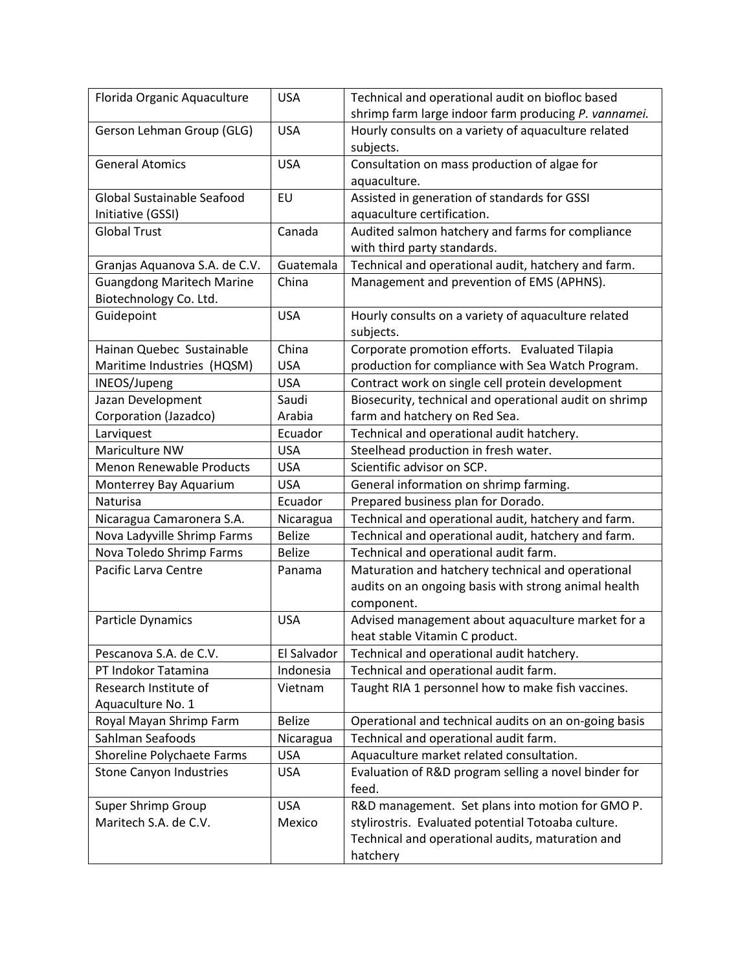| Florida Organic Aquaculture      | <b>USA</b>    | Technical and operational audit on biofloc based       |
|----------------------------------|---------------|--------------------------------------------------------|
|                                  |               | shrimp farm large indoor farm producing P. vannamei.   |
| Gerson Lehman Group (GLG)        | <b>USA</b>    | Hourly consults on a variety of aquaculture related    |
|                                  |               | subjects.                                              |
| <b>General Atomics</b>           | <b>USA</b>    | Consultation on mass production of algae for           |
|                                  |               | aquaculture.                                           |
| Global Sustainable Seafood       | EU            | Assisted in generation of standards for GSSI           |
| Initiative (GSSI)                |               | aquaculture certification.                             |
| <b>Global Trust</b>              | Canada        | Audited salmon hatchery and farms for compliance       |
|                                  |               | with third party standards.                            |
| Granjas Aquanova S.A. de C.V.    | Guatemala     | Technical and operational audit, hatchery and farm.    |
| <b>Guangdong Maritech Marine</b> | China         | Management and prevention of EMS (APHNS).              |
| Biotechnology Co. Ltd.           |               |                                                        |
| Guidepoint                       | <b>USA</b>    | Hourly consults on a variety of aquaculture related    |
|                                  |               | subjects.                                              |
| Hainan Quebec Sustainable        | China         | Corporate promotion efforts. Evaluated Tilapia         |
| Maritime Industries (HQSM)       | <b>USA</b>    | production for compliance with Sea Watch Program.      |
| INEOS/Jupeng                     | <b>USA</b>    | Contract work on single cell protein development       |
| Jazan Development                | Saudi         | Biosecurity, technical and operational audit on shrimp |
| Corporation (Jazadco)            | Arabia        | farm and hatchery on Red Sea.                          |
| Larviquest                       | Ecuador       | Technical and operational audit hatchery.              |
| Mariculture NW                   | <b>USA</b>    | Steelhead production in fresh water.                   |
| <b>Menon Renewable Products</b>  | <b>USA</b>    | Scientific advisor on SCP.                             |
| Monterrey Bay Aquarium           | <b>USA</b>    | General information on shrimp farming.                 |
| Naturisa                         | Ecuador       | Prepared business plan for Dorado.                     |
| Nicaragua Camaronera S.A.        | Nicaragua     | Technical and operational audit, hatchery and farm.    |
| Nova Ladyville Shrimp Farms      | <b>Belize</b> | Technical and operational audit, hatchery and farm.    |
| Nova Toledo Shrimp Farms         | <b>Belize</b> | Technical and operational audit farm.                  |
| Pacific Larva Centre             | Panama        | Maturation and hatchery technical and operational      |
|                                  |               | audits on an ongoing basis with strong animal health   |
|                                  |               | component.                                             |
| Particle Dynamics                | <b>USA</b>    | Advised management about aquaculture market for a      |
|                                  |               | heat stable Vitamin C product.                         |
| Pescanova S.A. de C.V.           | El Salvador   | Technical and operational audit hatchery.              |
| PT Indokor Tatamina              | Indonesia     | Technical and operational audit farm.                  |
| Research Institute of            | Vietnam       | Taught RIA 1 personnel how to make fish vaccines.      |
| Aquaculture No. 1                |               |                                                        |
| Royal Mayan Shrimp Farm          | <b>Belize</b> | Operational and technical audits on an on-going basis  |
| Sahlman Seafoods                 | Nicaragua     | Technical and operational audit farm.                  |
| Shoreline Polychaete Farms       | <b>USA</b>    | Aquaculture market related consultation.               |
| <b>Stone Canyon Industries</b>   | <b>USA</b>    | Evaluation of R&D program selling a novel binder for   |
|                                  |               | feed.                                                  |
| Super Shrimp Group               | <b>USA</b>    | R&D management. Set plans into motion for GMO P.       |
| Maritech S.A. de C.V.            | Mexico        | stylirostris. Evaluated potential Totoaba culture.     |
|                                  |               | Technical and operational audits, maturation and       |
|                                  |               | hatchery                                               |